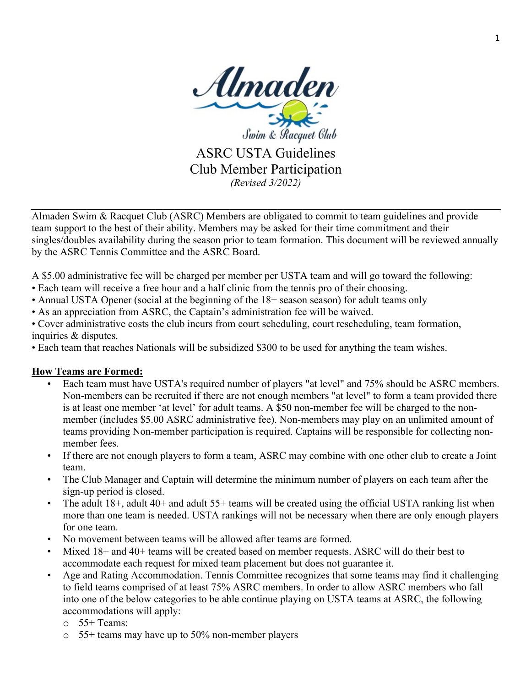

ASRC USTA Guidelines Club Member Participation *(Revised 3/2022)*

Almaden Swim & Racquet Club (ASRC) Members are obligated to commit to team guidelines and provide team support to the best of their ability. Members may be asked for their time commitment and their singles/doubles availability during the season prior to team formation. This document will be reviewed annually by the ASRC Tennis Committee and the ASRC Board.

A \$5.00 administrative fee will be charged per member per USTA team and will go toward the following:

- Each team will receive a free hour and a half clinic from the tennis pro of their choosing.
- Annual USTA Opener (social at the beginning of the 18+ season season) for adult teams only
- As an appreciation from ASRC, the Captain's administration fee will be waived.
- Cover administrative costs the club incurs from court scheduling, court rescheduling, team formation, inquiries & disputes.
- Each team that reaches Nationals will be subsidized \$300 to be used for anything the team wishes.

#### **How Teams are Formed:**

- Each team must have USTA's required number of players "at level" and 75% should be ASRC members. Non-members can be recruited if there are not enough members "at level" to form a team provided there is at least one member 'at level' for adult teams. A \$50 non-member fee will be charged to the nonmember (includes \$5.00 ASRC administrative fee). Non-members may play on an unlimited amount of teams providing Non-member participation is required. Captains will be responsible for collecting nonmember fees.
- If there are not enough players to form a team, ASRC may combine with one other club to create a Joint team.
- The Club Manager and Captain will determine the minimum number of players on each team after the sign-up period is closed.
- The adult  $18+$ , adult  $40+$  and adult  $55+$  teams will be created using the official USTA ranking list when more than one team is needed. USTA rankings will not be necessary when there are only enough players for one team.
- No movement between teams will be allowed after teams are formed.
- Mixed 18+ and 40+ teams will be created based on member requests. ASRC will do their best to accommodate each request for mixed team placement but does not guarantee it.
- Age and Rating Accommodation. Tennis Committee recognizes that some teams may find it challenging to field teams comprised of at least 75% ASRC members. In order to allow ASRC members who fall into one of the below categories to be able continue playing on USTA teams at ASRC, the following accommodations will apply:
	- $\circ$  55+ Teams:
	- $\circ$  55+ teams may have up to 50% non-member players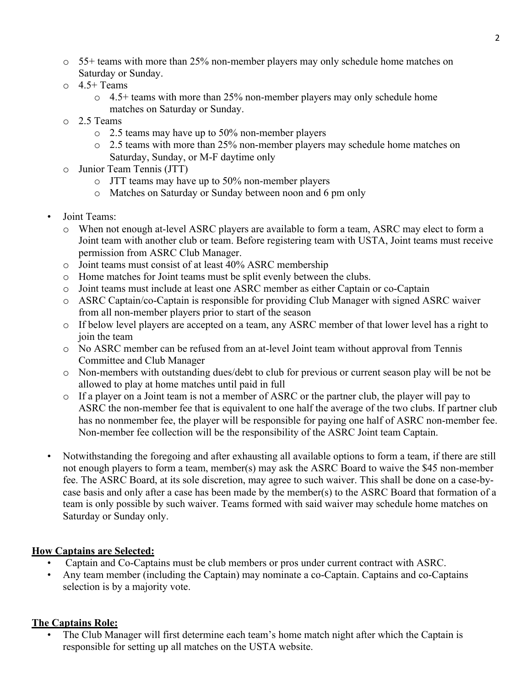- o 55+ teams with more than 25% non-member players may only schedule home matches on Saturday or Sunday.
- $\circ$  4.5+ Teams
	- o 4.5+ teams with more than 25% non-member players may only schedule home matches on Saturday or Sunday.
- o 2.5 Teams
	- o 2.5 teams may have up to 50% non-member players
	- o 2.5 teams with more than 25% non-member players may schedule home matches on Saturday, Sunday, or M-F daytime only
- o Junior Team Tennis (JTT)
	- o JTT teams may have up to 50% non-member players
	- o Matches on Saturday or Sunday between noon and 6 pm only
- Joint Teams:
	- o When not enough at-level ASRC players are available to form a team, ASRC may elect to form a Joint team with another club or team. Before registering team with USTA, Joint teams must receive permission from ASRC Club Manager.
	- o Joint teams must consist of at least 40% ASRC membership
	- o Home matches for Joint teams must be split evenly between the clubs.
	- o Joint teams must include at least one ASRC member as either Captain or co-Captain
	- o ASRC Captain/co-Captain is responsible for providing Club Manager with signed ASRC waiver from all non-member players prior to start of the season
	- o If below level players are accepted on a team, any ASRC member of that lower level has a right to join the team
	- o No ASRC member can be refused from an at-level Joint team without approval from Tennis Committee and Club Manager
	- o Non-members with outstanding dues/debt to club for previous or current season play will be not be allowed to play at home matches until paid in full
	- o If a player on a Joint team is not a member of ASRC or the partner club, the player will pay to ASRC the non-member fee that is equivalent to one half the average of the two clubs. If partner club has no nonmember fee, the player will be responsible for paying one half of ASRC non-member fee. Non-member fee collection will be the responsibility of the ASRC Joint team Captain.
- Notwithstanding the foregoing and after exhausting all available options to form a team, if there are still not enough players to form a team, member(s) may ask the ASRC Board to waive the \$45 non-member fee. The ASRC Board, at its sole discretion, may agree to such waiver. This shall be done on a case-bycase basis and only after a case has been made by the member(s) to the ASRC Board that formation of a team is only possible by such waiver. Teams formed with said waiver may schedule home matches on Saturday or Sunday only.

## **How Captains are Selected:**

- Captain and Co-Captains must be club members or pros under current contract with ASRC.
- Any team member (including the Captain) may nominate a co-Captain. Captains and co-Captains selection is by a majority vote.

## **The Captains Role:**

• The Club Manager will first determine each team's home match night after which the Captain is responsible for setting up all matches on the USTA website.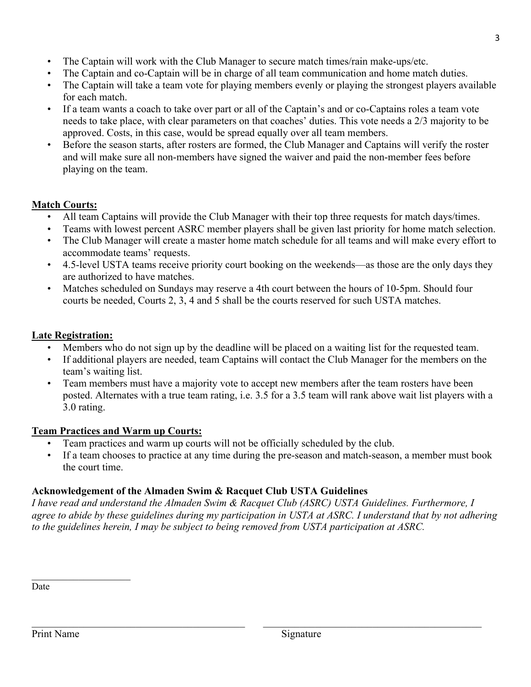- The Captain will work with the Club Manager to secure match times/rain make-ups/etc.
- The Captain and co-Captain will be in charge of all team communication and home match duties.
- The Captain will take a team vote for playing members evenly or playing the strongest players available for each match.
- If a team wants a coach to take over part or all of the Captain's and or co-Captains roles a team vote needs to take place, with clear parameters on that coaches' duties. This vote needs a 2/3 majority to be approved. Costs, in this case, would be spread equally over all team members.
- Before the season starts, after rosters are formed, the Club Manager and Captains will verify the roster and will make sure all non-members have signed the waiver and paid the non-member fees before playing on the team.

## **Match Courts:**

- All team Captains will provide the Club Manager with their top three requests for match days/times.
- Teams with lowest percent ASRC member players shall be given last priority for home match selection.
- The Club Manager will create a master home match schedule for all teams and will make every effort to accommodate teams' requests.
- 4.5-level USTA teams receive priority court booking on the weekends—as those are the only days they are authorized to have matches.
- Matches scheduled on Sundays may reserve a 4th court between the hours of 10-5pm. Should four courts be needed, Courts 2, 3, 4 and 5 shall be the courts reserved for such USTA matches.

## **Late Registration:**

- Members who do not sign up by the deadline will be placed on a waiting list for the requested team.
- If additional players are needed, team Captains will contact the Club Manager for the members on the team's waiting list.
- Team members must have a majority vote to accept new members after the team rosters have been posted. Alternates with a true team rating, i.e. 3.5 for a 3.5 team will rank above wait list players with a 3.0 rating.

## **Team Practices and Warm up Courts:**

- Team practices and warm up courts will not be officially scheduled by the club.
- If a team chooses to practice at any time during the pre-season and match-season, a member must book the court time.

## **Acknowledgement of the Almaden Swim & Racquet Club USTA Guidelines**

*I have read and understand the Almaden Swim & Racquet Club (ASRC) USTA Guidelines. Furthermore, I agree to abide by these guidelines during my participation in USTA at ASRC. I understand that by not adhering to the guidelines herein, I may be subject to being removed from USTA participation at ASRC.*

Date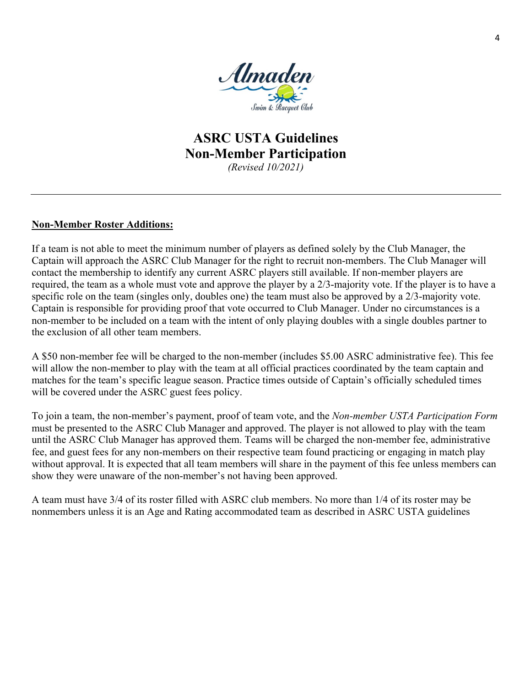

# **ASRC USTA Guidelines Non-Member Participation**

*(Revised 10/2021)*

#### **Non-Member Roster Additions:**

If a team is not able to meet the minimum number of players as defined solely by the Club Manager, the Captain will approach the ASRC Club Manager for the right to recruit non-members. The Club Manager will contact the membership to identify any current ASRC players still available. If non-member players are required, the team as a whole must vote and approve the player by a 2/3-majority vote. If the player is to have a specific role on the team (singles only, doubles one) the team must also be approved by a 2/3-majority vote. Captain is responsible for providing proof that vote occurred to Club Manager. Under no circumstances is a non-member to be included on a team with the intent of only playing doubles with a single doubles partner to the exclusion of all other team members.

A \$50 non-member fee will be charged to the non-member (includes \$5.00 ASRC administrative fee). This fee will allow the non-member to play with the team at all official practices coordinated by the team captain and matches for the team's specific league season. Practice times outside of Captain's officially scheduled times will be covered under the ASRC guest fees policy.

To join a team, the non-member's payment, proof of team vote, and the *Non-member USTA Participation Form* must be presented to the ASRC Club Manager and approved. The player is not allowed to play with the team until the ASRC Club Manager has approved them. Teams will be charged the non-member fee, administrative fee, and guest fees for any non-members on their respective team found practicing or engaging in match play without approval. It is expected that all team members will share in the payment of this fee unless members can show they were unaware of the non-member's not having been approved.

A team must have 3/4 of its roster filled with ASRC club members. No more than 1/4 of its roster may be nonmembers unless it is an Age and Rating accommodated team as described in ASRC USTA guidelines